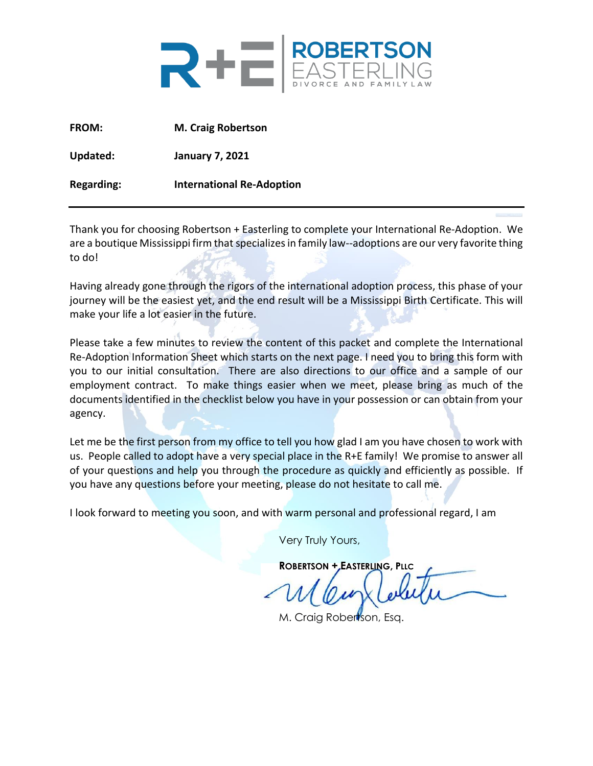

**FROM: M. Craig Robertson Updated: January 7, 2021**

**Regarding: International Re-Adoption**

Thank you for choosing Robertson + Easterling to complete your International Re-Adoption. We are a boutique Mississippi firm that specializes in family law--adoptions are our very favorite thing to do!

Having already gone through the rigors of the international adoption process, this phase of your journey will be the easiest yet, and the end result will be a Mississippi Birth Certificate. This will make your life a lot easier in the future.

Please take a few minutes to review the content of this packet and complete the International Re-Adoption Information Sheet which starts on the next page. I need you to bring this form with you to our initial consultation. There are also directions to our office and a sample of our employment contract. To make things easier when we meet, please bring as much of the documents identified in the checklist below you have in your possession or can obtain from your agency.

Let me be the first person from my office to tell you how glad I am you have chosen to work with us. People called to adopt have a very special place in the R+E family! We promise to answer all of your questions and help you through the procedure as quickly and efficiently as possible. If you have any questions before your meeting, please do not hesitate to call me.

I look forward to meeting you soon, and with warm personal and professional regard, I am

Very Truly Yours,

**ROBERTSON + EASTERLING, PLLC**

M. Craig Robertson, Esa.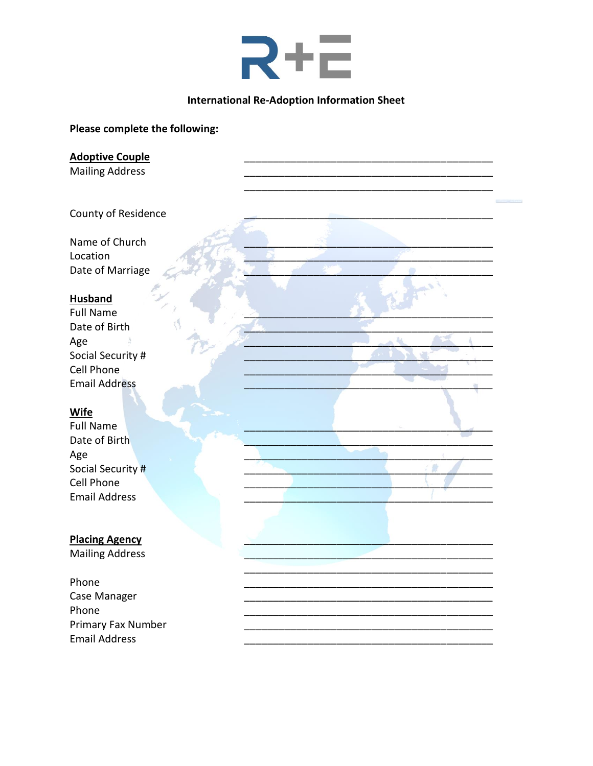

#### **International Re-Adoption Information Sheet**

#### Please complete the following:

**Adoptive Couple** 

**Mailing Address** 

County of Residence

Name of Church Location Date of Marriage

#### **Husband**

**Full Name** Date of Birth Age Social Security # Cell Phone **Email Address** 

#### Wife

**Full Name** Date of Birth Age Social Security # Cell Phone **Email Address** 

#### **Placing Agency**

**Mailing Address** 

Phone Case Manager Phone Primary Fax Number **Email Address**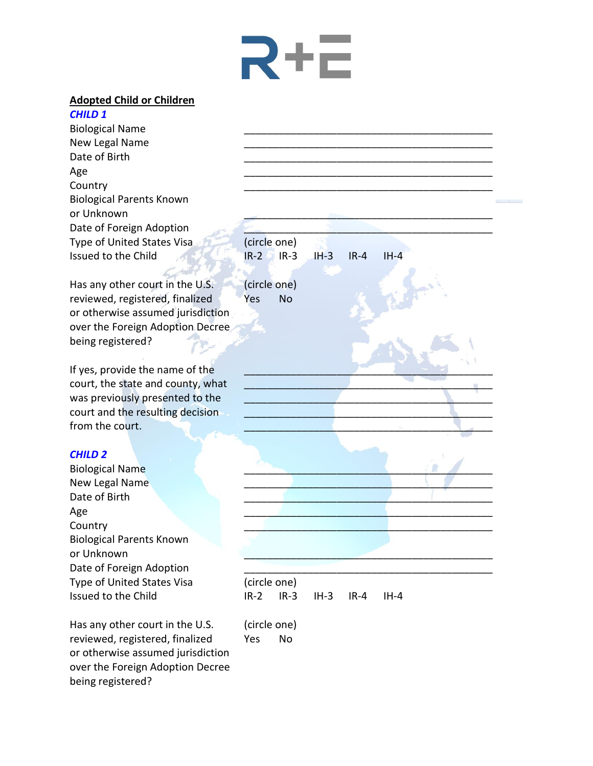# Rtc

#### **Adopted Child or Children**

*CHILD 1* Biological Name New Legal Name Date of Birth Age \_\_\_\_\_\_\_\_\_\_\_\_\_\_\_\_\_\_\_\_\_\_\_\_\_\_\_\_\_\_\_\_\_\_\_\_\_\_\_\_\_\_\_ Country \_\_\_\_\_\_\_\_\_\_\_\_\_\_\_\_\_\_\_\_\_\_\_\_\_\_\_\_\_\_\_\_\_\_\_\_\_\_\_\_\_\_\_ Biological Parents Known or Unknown Date of Foreign Adoption Type of United States Visa (circle one) Issued to the Child IR-2 IR-3 IH-3 IR-4 IH-4

Has any other court in the U.S. (circle one) reviewed, registered, finalized Yes No or otherwise assumed jurisdiction over the Foreign Adoption Decree being registered?

If yes, provide the name of the court, the state and county, what was previously presented to the court and the resulting decision from the court.

### *CHILD 2*

Biological Name New Legal Name Date of Birth Age \_\_\_\_\_\_\_\_\_\_\_\_\_\_\_\_\_\_\_\_\_\_\_\_\_\_\_\_\_\_\_\_\_\_\_\_\_\_\_\_\_\_\_ Country the control of the control of the control of the control of the control of the control of the control o Biological Parents Known or Unknown Date of Foreign Adoption Type of United States Visa (circle one)

Has any other court in the U.S. (circle one) reviewed, registered, finalized Yes No or otherwise assumed jurisdiction over the Foreign Adoption Decree being registered?

Issued to the Child IR-2 IR-3 IH-3 IR-4 IH-4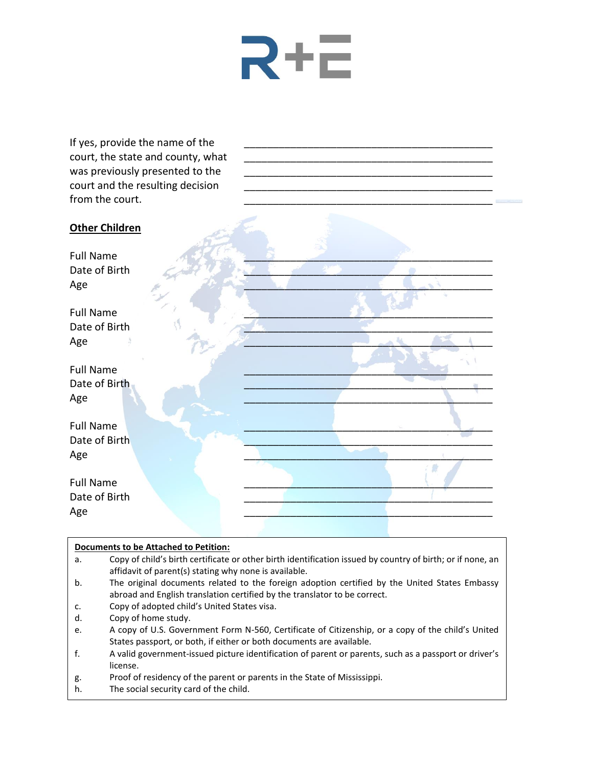

If yes, provide the name of the court, the state and county, what was previously presented to the court and the resulting decision from the court.

# **Other Children** Full Name  $\mathcal{A} \subset \mathbb{R}$  , we see that the set of  $\mathcal{A}$ Date of Birth Age  $\overline{A}$ Full Name  $\overline{\phantom{a}}$ Date of Birth Age \_\_\_\_\_\_\_\_\_\_\_\_\_\_\_\_\_\_\_\_\_\_\_\_\_\_\_\_\_\_\_\_\_\_\_\_\_\_\_\_\_\_\_ Full Name  $\overline{\phantom{a}}$  ,  $\overline{\phantom{a}}$  ,  $\overline{\phantom{a}}$  ,  $\overline{\phantom{a}}$  ,  $\overline{\phantom{a}}$  ,  $\overline{\phantom{a}}$  ,  $\overline{\phantom{a}}$  ,  $\overline{\phantom{a}}$  ,  $\overline{\phantom{a}}$  ,  $\overline{\phantom{a}}$  ,  $\overline{\phantom{a}}$  ,  $\overline{\phantom{a}}$  ,  $\overline{\phantom{a}}$  ,  $\overline{\phantom{a}}$  ,  $\overline{\phantom{a}}$  , Date of Birth Age \_\_\_\_\_\_\_\_\_\_\_\_\_\_\_\_\_\_\_\_\_\_\_\_\_\_\_\_\_\_\_\_\_\_\_\_\_\_\_\_\_\_\_  $Full Name$   $\qquad \qquad \qquad \qquad$ Date of Birth  $\mathsf{Age}$  . The contract of the contract of the contract of the contract of the contract of the contract of the contract of the contract of the contract of the contract of the contract of the contract of the contract of th Full Name  $\overline{\phantom{a}}$ Date of Birth Age \_\_\_\_\_\_\_\_\_\_\_\_\_\_\_\_\_\_\_\_\_\_\_\_\_\_\_\_\_\_\_\_\_\_\_\_\_\_\_\_\_\_\_

#### **Documents to be Attached to Petition:**

- a. Copy of child's birth certificate or other birth identification issued by country of birth; or if none, an affidavit of parent(s) stating why none is available.
- b. The original documents related to the foreign adoption certified by the United States Embassy abroad and English translation certified by the translator to be correct.
- c. Copy of adopted child's United States visa.
- d. Copy of home study.
- e. A copy of U.S. Government Form N-560, Certificate of Citizenship, or a copy of the child's United States passport, or both, if either or both documents are available.
- f. A valid government-issued picture identification of parent or parents, such as a passport or driver's license.
- g. Proof of residency of the parent or parents in the State of Mississippi.
- h. The social security card of the child.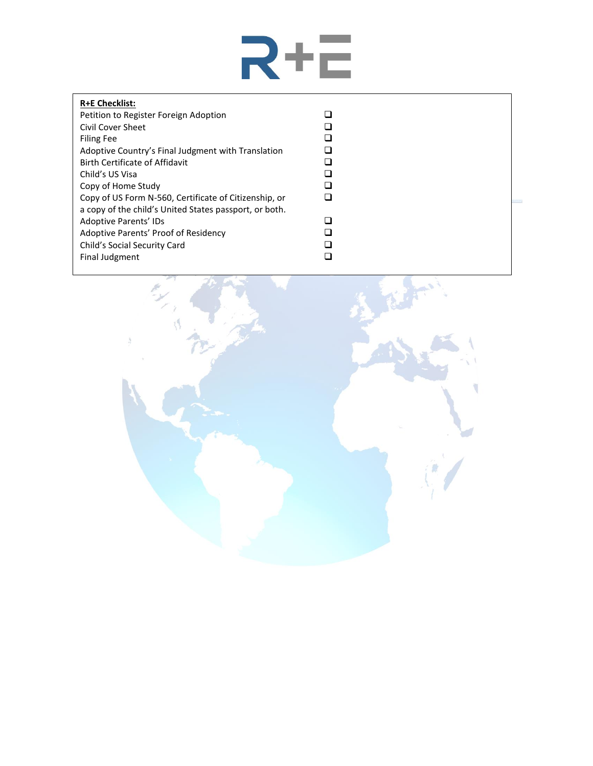

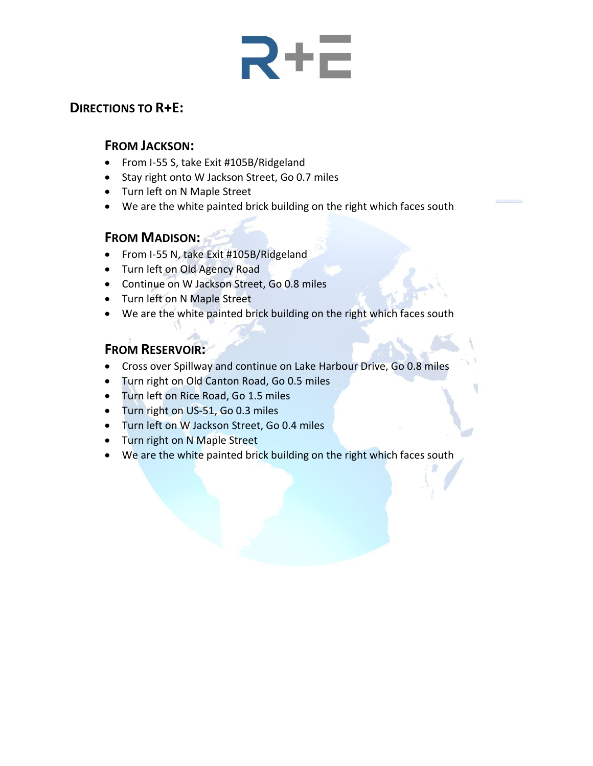# **R+E**

# **DIRECTIONS TO R+E:**

### **FROM JACKSON:**

- From I-55 S, take Exit #105B/Ridgeland
- Stay right onto W Jackson Street, Go 0.7 miles
- Turn left on N Maple Street
- We are the white painted brick building on the right which faces south

## **FROM MADISON:**

- From I-55 N, take Exit #105B/Ridgeland
- Turn left on Old Agency Road
- Continue on W Jackson Street, Go 0.8 miles
- Turn left on N Maple Street
- We are the white painted brick building on the right which faces south

# **FROM RESERVOIR:**

- Cross over Spillway and continue on Lake Harbour Drive, Go 0.8 miles
- Turn right on Old Canton Road, Go 0.5 miles
- Turn left on Rice Road, Go 1.5 miles
- Turn right on US-51, Go 0.3 miles
- Turn left on W Jackson Street, Go 0.4 miles
- Turn right on N Maple Street
- We are the white painted brick building on the right which faces south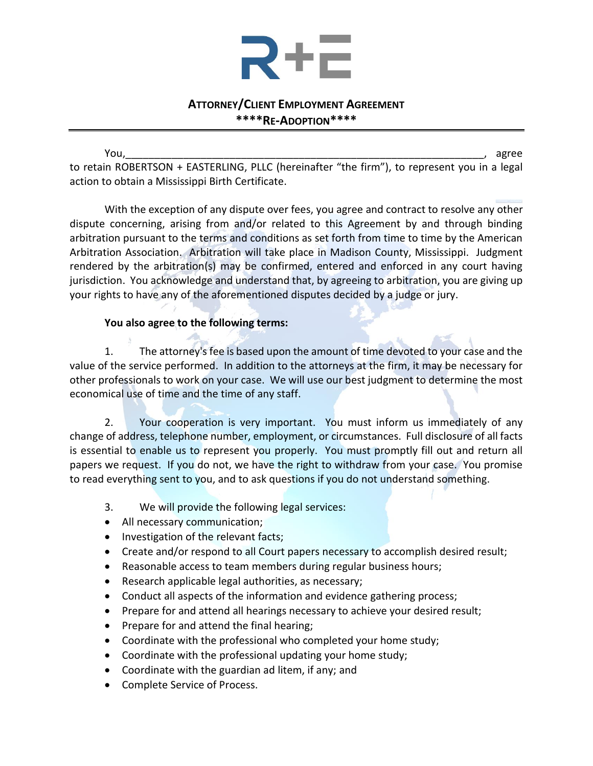

### **ATTORNEY/CLIENT EMPLOYMENT AGREEMENT \*\*\*\*RE-ADOPTION\*\*\*\***

You,\_\_\_\_\_\_\_\_\_\_\_\_\_\_\_\_\_\_\_\_\_\_\_\_\_\_\_\_\_\_\_\_\_\_\_\_\_\_\_\_\_\_\_\_\_\_\_\_\_\_\_\_\_\_\_\_\_\_\_\_\_\_, agree to retain ROBERTSON + EASTERLING, PLLC (hereinafter "the firm"), to represent you in a legal action to obtain a Mississippi Birth Certificate.

With the exception of any dispute over fees, you agree and contract to resolve any other dispute concerning, arising from and/or related to this Agreement by and through binding arbitration pursuant to the terms and conditions as set forth from time to time by the American Arbitration Association. Arbitration will take place in Madison County, Mississippi. Judgment rendered by the arbitration(s) may be confirmed, entered and enforced in any court having jurisdiction. You acknowledge and understand that, by agreeing to arbitration, you are giving up your rights to have any of the aforementioned disputes decided by a judge or jury.

### **You also agree to the following terms:**

1. The attorney's fee is based upon the amount of time devoted to your case and the value of the service performed. In addition to the attorneys at the firm, it may be necessary for other professionals to work on your case. We will use our best judgment to determine the most economical use of time and the time of any staff.

2. Your cooperation is very important. You must inform us immediately of any change of address, telephone number, employment, or circumstances. Full disclosure of all facts is essential to enable us to represent you properly. You must promptly fill out and return all papers we request. If you do not, we have the right to withdraw from your case. You promise to read everything sent to you, and to ask questions if you do not understand something.

- 3. We will provide the following legal services:
- All necessary communication;
- Investigation of the relevant facts;
- Create and/or respond to all Court papers necessary to accomplish desired result;
- Reasonable access to team members during regular business hours;
- Research applicable legal authorities, as necessary;
- Conduct all aspects of the information and evidence gathering process;
- Prepare for and attend all hearings necessary to achieve your desired result;
- Prepare for and attend the final hearing;
- Coordinate with the professional who completed your home study;
- Coordinate with the professional updating your home study;
- Coordinate with the guardian ad litem, if any; and
- Complete Service of Process.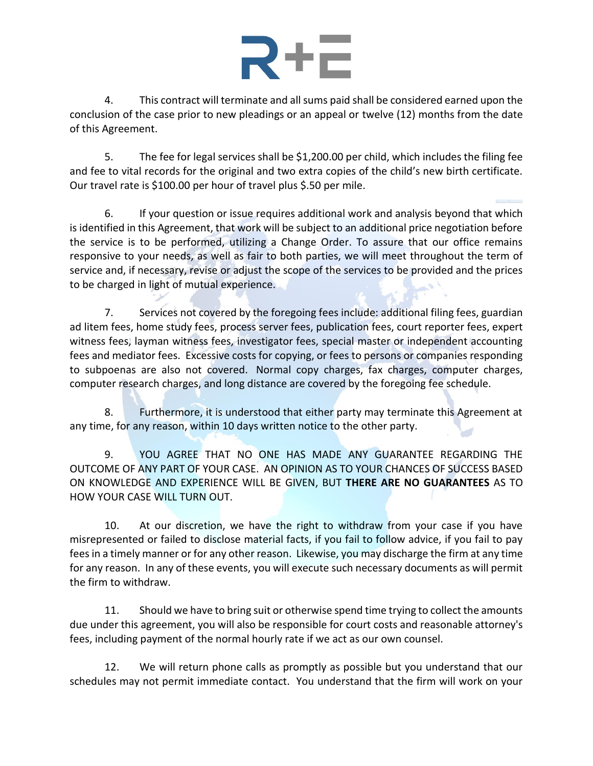4. This contract will terminate and all sums paid shall be considered earned upon the conclusion of the case prior to new pleadings or an appeal or twelve (12) months from the date of this Agreement.

5. The fee for legal services shall be \$1,200.00 per child, which includes the filing fee and fee to vital records for the original and two extra copies of the child's new birth certificate. Our travel rate is \$100.00 per hour of travel plus \$.50 per mile.

6. If your question or issue requires additional work and analysis beyond that which is identified in this Agreement, that work will be subject to an additional price negotiation before the service is to be performed, utilizing a Change Order. To assure that our office remains responsive to your needs, as well as fair to both parties, we will meet throughout the term of service and, if necessary, revise or adjust the scope of the services to be provided and the prices to be charged in light of mutual experience.

7. Services not covered by the foregoing fees include: additional filing fees, guardian ad litem fees, home study fees, process server fees, publication fees, court reporter fees, expert witness fees, layman witness fees, investigator fees, special master or independent accounting fees and mediator fees. Excessive costs for copying, or fees to persons or companies responding to subpoenas are also not covered. Normal copy charges, fax charges, computer charges, computer research charges, and long distance are covered by the foregoing fee schedule.

8. Furthermore, it is understood that either party may terminate this Agreement at any time, for any reason, within 10 days written notice to the other party.

9. YOU AGREE THAT NO ONE HAS MADE ANY GUARANTEE REGARDING THE OUTCOME OF ANY PART OF YOUR CASE. AN OPINION AS TO YOUR CHANCES OF SUCCESS BASED ON KNOWLEDGE AND EXPERIENCE WILL BE GIVEN, BUT **THERE ARE NO GUARANTEES** AS TO HOW YOUR CASE WILL TURN OUT.

10. At our discretion, we have the right to withdraw from your case if you have misrepresented or failed to disclose material facts, if you fail to follow advice, if you fail to pay fees in a timely manner or for any other reason. Likewise, you may discharge the firm at any time for any reason. In any of these events, you will execute such necessary documents as will permit the firm to withdraw.

11. Should we have to bring suit or otherwise spend time trying to collect the amounts due under this agreement, you will also be responsible for court costs and reasonable attorney's fees, including payment of the normal hourly rate if we act as our own counsel.

12. We will return phone calls as promptly as possible but you understand that our schedules may not permit immediate contact. You understand that the firm will work on your